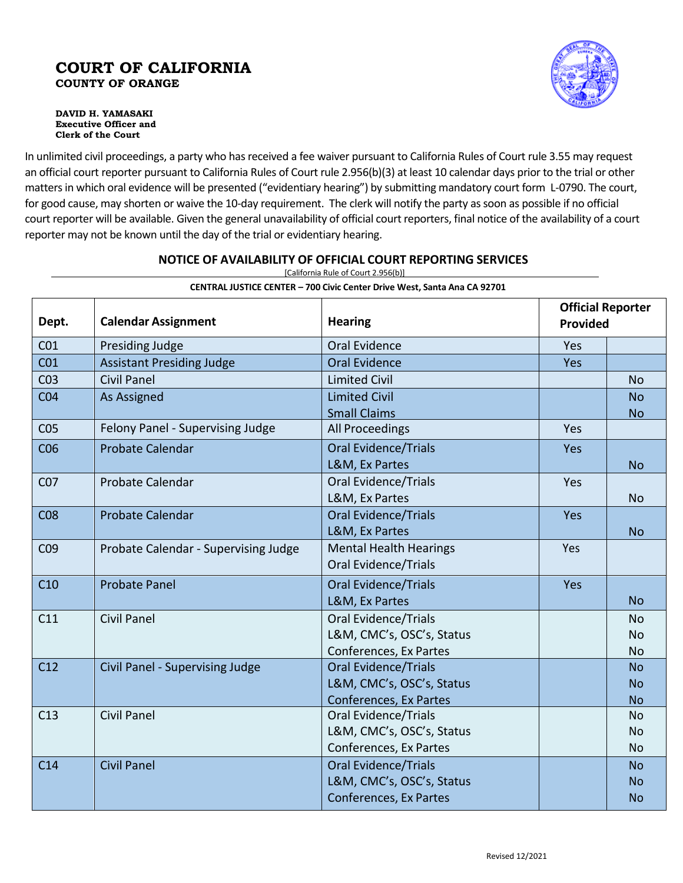# **COURT OF CALIFORNIA COUNTY OF ORANGE**

**DAVID H. YAMASAKI Executive Officer and Clerk of the Court**

In unlimited civil proceedings, a party who has received a fee waiver pursuant to California Rules of Court rule 3.55 may request an official court reporter pursuant to California Rules of Court rule 2.956(b)(3) at least 10 calendar days prior to the trial or other matters in which oral evidence will be presented ("evidentiary hearing") by submitting mandatory court form L-0790. The court, for good cause, may shorten or waive the 10-day requirement. The clerk will notify the party as soon as possible if no official court reporter will be available. Given the general unavailability of official court reporters, final notice of the availability of a court reporter may not be known until the day of the trial or evidentiary hearing.

|                 | CENTRAL JUSTICE CENTER - 700 Civic Center Drive West, Santa Ana CA 92701 |                               |                                             |           |  |
|-----------------|--------------------------------------------------------------------------|-------------------------------|---------------------------------------------|-----------|--|
| Dept.           | <b>Calendar Assignment</b>                                               | <b>Hearing</b>                | <b>Official Reporter</b><br><b>Provided</b> |           |  |
| CO <sub>1</sub> | Presiding Judge                                                          | Oral Evidence                 | Yes                                         |           |  |
| CO <sub>1</sub> | <b>Assistant Presiding Judge</b>                                         | <b>Oral Evidence</b>          | Yes                                         |           |  |
| CO <sub>3</sub> | <b>Civil Panel</b>                                                       | <b>Limited Civil</b>          |                                             | <b>No</b> |  |
| CO <sub>4</sub> | As Assigned                                                              | <b>Limited Civil</b>          |                                             | <b>No</b> |  |
|                 |                                                                          | <b>Small Claims</b>           |                                             | <b>No</b> |  |
| CO <sub>5</sub> | Felony Panel - Supervising Judge                                         | All Proceedings               | Yes                                         |           |  |
| CO6             | <b>Probate Calendar</b>                                                  | <b>Oral Evidence/Trials</b>   | Yes                                         |           |  |
|                 |                                                                          | L&M, Ex Partes                |                                             | <b>No</b> |  |
| CO <sub>7</sub> | <b>Probate Calendar</b>                                                  | <b>Oral Evidence/Trials</b>   | Yes                                         |           |  |
|                 |                                                                          | L&M, Ex Partes                |                                             | <b>No</b> |  |
| CO8             | <b>Probate Calendar</b>                                                  | <b>Oral Evidence/Trials</b>   | Yes                                         |           |  |
|                 |                                                                          | L&M, Ex Partes                |                                             | <b>No</b> |  |
| CO <sub>9</sub> | Probate Calendar - Supervising Judge                                     | <b>Mental Health Hearings</b> | Yes                                         |           |  |
|                 |                                                                          | <b>Oral Evidence/Trials</b>   |                                             |           |  |
| C10             | <b>Probate Panel</b>                                                     | <b>Oral Evidence/Trials</b>   | Yes                                         |           |  |
|                 |                                                                          | L&M, Ex Partes                |                                             | <b>No</b> |  |
| C11             | <b>Civil Panel</b>                                                       | <b>Oral Evidence/Trials</b>   |                                             | <b>No</b> |  |
|                 |                                                                          | L&M, CMC's, OSC's, Status     |                                             | <b>No</b> |  |
|                 |                                                                          | Conferences, Ex Partes        |                                             | <b>No</b> |  |
| C12             | Civil Panel - Supervising Judge                                          | <b>Oral Evidence/Trials</b>   |                                             | <b>No</b> |  |
|                 |                                                                          | L&M, CMC's, OSC's, Status     |                                             | <b>No</b> |  |
|                 |                                                                          | Conferences, Ex Partes        |                                             | <b>No</b> |  |
| C13             | <b>Civil Panel</b>                                                       | <b>Oral Evidence/Trials</b>   |                                             | <b>No</b> |  |
|                 |                                                                          | L&M, CMC's, OSC's, Status     |                                             | <b>No</b> |  |
|                 |                                                                          | Conferences, Ex Partes        |                                             | <b>No</b> |  |
| C14             | <b>Civil Panel</b>                                                       | <b>Oral Evidence/Trials</b>   |                                             | <b>No</b> |  |
|                 |                                                                          | L&M, CMC's, OSC's, Status     |                                             | <b>No</b> |  |
|                 |                                                                          | Conferences, Ex Partes        |                                             | <b>No</b> |  |

### **NOTICE OF AVAILABILITY OF OFFICIAL COURT REPORTING SERVICES** [California Rule of Court 2.956(b)]

Revised 12/2021

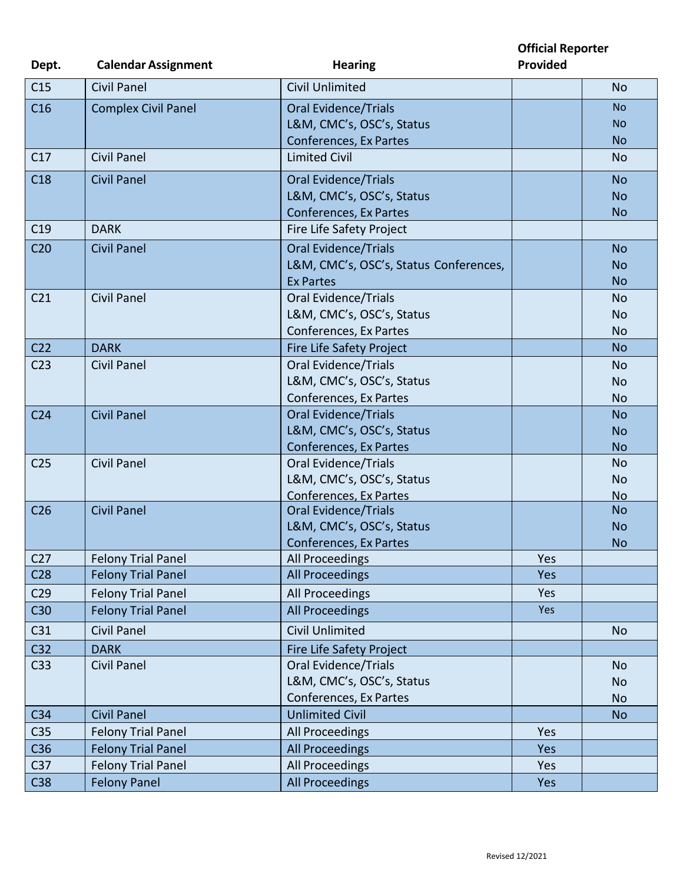**Official Reporter Provided**

| Dept.           | <b>Calendar Assignment</b> | <b>Hearing</b>                         | <b>Provided</b> |           |
|-----------------|----------------------------|----------------------------------------|-----------------|-----------|
| C15             | <b>Civil Panel</b>         | <b>Civil Unlimited</b>                 |                 | <b>No</b> |
| C16             | <b>Complex Civil Panel</b> | <b>Oral Evidence/Trials</b>            |                 | <b>No</b> |
|                 |                            | L&M, CMC's, OSC's, Status              |                 | <b>NO</b> |
|                 |                            | <b>Conferences, Ex Partes</b>          |                 | <b>No</b> |
| C17             | <b>Civil Panel</b>         | <b>Limited Civil</b>                   |                 | <b>No</b> |
| C18             | <b>Civil Panel</b>         | <b>Oral Evidence/Trials</b>            |                 | <b>No</b> |
|                 |                            | L&M, CMC's, OSC's, Status              |                 | <b>No</b> |
|                 |                            | Conferences, Ex Partes                 |                 | <b>No</b> |
| C19             | <b>DARK</b>                | Fire Life Safety Project               |                 |           |
| C <sub>20</sub> | <b>Civil Panel</b>         | <b>Oral Evidence/Trials</b>            |                 | <b>No</b> |
|                 |                            | L&M, CMC's, OSC's, Status Conferences, |                 | <b>No</b> |
|                 |                            | <b>Ex Partes</b>                       |                 | <b>No</b> |
| C <sub>21</sub> | <b>Civil Panel</b>         | <b>Oral Evidence/Trials</b>            |                 | <b>No</b> |
|                 |                            | L&M, CMC's, OSC's, Status              |                 | <b>No</b> |
|                 |                            | Conferences, Ex Partes                 |                 | <b>No</b> |
| C <sub>22</sub> | <b>DARK</b>                | Fire Life Safety Project               |                 | <b>No</b> |
| C <sub>23</sub> | <b>Civil Panel</b>         | <b>Oral Evidence/Trials</b>            |                 | No        |
|                 |                            | L&M, CMC's, OSC's, Status              |                 | <b>No</b> |
|                 |                            | Conferences, Ex Partes                 |                 | <b>No</b> |
| C <sub>24</sub> | <b>Civil Panel</b>         | <b>Oral Evidence/Trials</b>            |                 | <b>No</b> |
|                 |                            | L&M, CMC's, OSC's, Status              |                 | <b>No</b> |
|                 |                            | Conferences, Ex Partes                 |                 | <b>No</b> |
| C <sub>25</sub> | <b>Civil Panel</b>         | <b>Oral Evidence/Trials</b>            |                 | No        |
|                 |                            | L&M, CMC's, OSC's, Status              |                 | <b>No</b> |
|                 |                            | Conferences, Ex Partes                 |                 | <b>No</b> |
| C <sub>26</sub> | <b>Civil Panel</b>         | <b>Oral Evidence/Trials</b>            |                 | <b>No</b> |
|                 |                            | L&M, CMC's, OSC's, Status              |                 | <b>No</b> |
|                 |                            | Conferences, Ex Partes                 |                 | <b>No</b> |
| C <sub>27</sub> | <b>Felony Trial Panel</b>  | All Proceedings                        | Yes             |           |
| C <sub>28</sub> | <b>Felony Trial Panel</b>  | <b>All Proceedings</b>                 | Yes             |           |
| C <sub>29</sub> | <b>Felony Trial Panel</b>  | All Proceedings                        | Yes             |           |
| C30             | <b>Felony Trial Panel</b>  | <b>All Proceedings</b>                 | Yes             |           |
| C31             | <b>Civil Panel</b>         | <b>Civil Unlimited</b>                 |                 | <b>No</b> |
| C32             | <b>DARK</b>                | Fire Life Safety Project               |                 |           |
| C33             | <b>Civil Panel</b>         | <b>Oral Evidence/Trials</b>            |                 | <b>No</b> |
|                 |                            | L&M, CMC's, OSC's, Status              |                 | No        |
|                 |                            | Conferences, Ex Partes                 |                 | No        |
| C <sub>34</sub> | <b>Civil Panel</b>         | <b>Unlimited Civil</b>                 |                 | <b>No</b> |
| C <sub>35</sub> | <b>Felony Trial Panel</b>  | All Proceedings                        | Yes             |           |
| C36             | <b>Felony Trial Panel</b>  | All Proceedings                        | Yes             |           |
| C <sub>37</sub> | <b>Felony Trial Panel</b>  | All Proceedings                        | Yes             |           |
| C38             | <b>Felony Panel</b>        | All Proceedings                        | Yes             |           |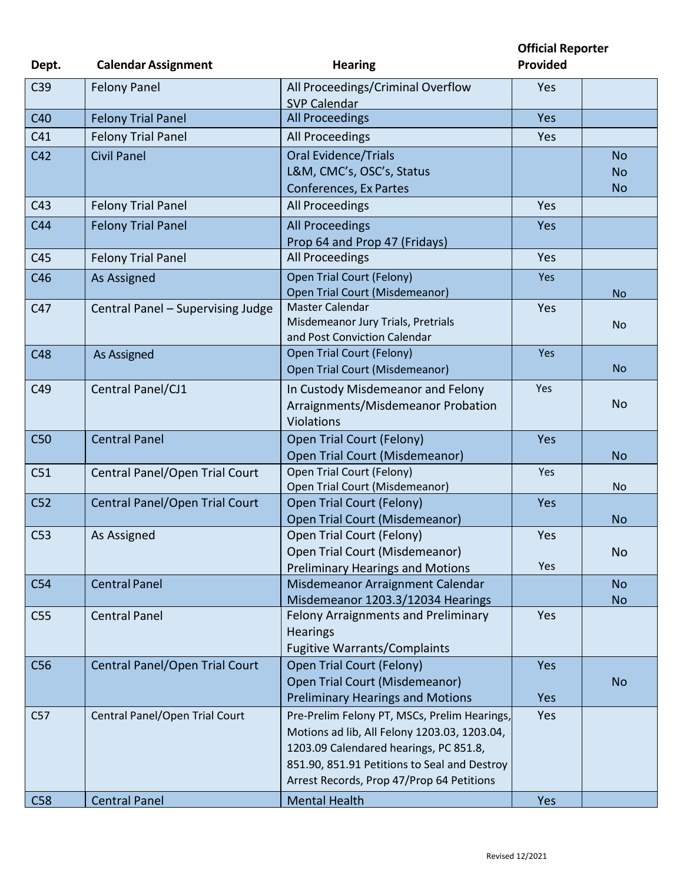**Official Reporter**

| Dept.           | <b>Calendar Assignment</b>        | <b>Hearing</b>                                                           | Provided   |           |
|-----------------|-----------------------------------|--------------------------------------------------------------------------|------------|-----------|
| C <sub>39</sub> | <b>Felony Panel</b>               | All Proceedings/Criminal Overflow<br><b>SVP Calendar</b>                 | Yes        |           |
| C40             | <b>Felony Trial Panel</b>         | <b>All Proceedings</b>                                                   | <b>Yes</b> |           |
| C41             | <b>Felony Trial Panel</b>         | All Proceedings                                                          | Yes        |           |
| C42             | <b>Civil Panel</b>                | <b>Oral Evidence/Trials</b>                                              |            | <b>No</b> |
|                 |                                   | L&M, CMC's, OSC's, Status                                                |            | <b>No</b> |
|                 |                                   | Conferences, Ex Partes                                                   |            | <b>No</b> |
| C43             | <b>Felony Trial Panel</b>         | All Proceedings                                                          | Yes        |           |
| C44             | <b>Felony Trial Panel</b>         | <b>All Proceedings</b>                                                   | Yes        |           |
|                 |                                   | Prop 64 and Prop 47 (Fridays)                                            |            |           |
| C45             | <b>Felony Trial Panel</b>         | All Proceedings                                                          | Yes        |           |
| C46             | As Assigned                       | <b>Open Trial Court (Felony)</b>                                         | Yes        |           |
|                 |                                   | Open Trial Court (Misdemeanor)                                           |            | <b>No</b> |
| C47             | Central Panel - Supervising Judge | Master Calendar                                                          | Yes        |           |
|                 |                                   | Misdemeanor Jury Trials, Pretrials<br>and Post Conviction Calendar       |            | <b>No</b> |
| C48             | As Assigned                       | Open Trial Court (Felony)                                                | Yes        |           |
|                 |                                   | Open Trial Court (Misdemeanor)                                           |            | <b>No</b> |
| C49             | Central Panel/CJ1                 | In Custody Misdemeanor and Felony                                        | Yes        |           |
|                 |                                   | Arraignments/Misdemeanor Probation                                       |            | <b>No</b> |
|                 |                                   | Violations                                                               |            |           |
| C50             | <b>Central Panel</b>              | Open Trial Court (Felony)                                                | Yes        |           |
|                 |                                   | <b>Open Trial Court (Misdemeanor)</b>                                    |            | <b>No</b> |
| C51             | Central Panel/Open Trial Court    | Open Trial Court (Felony)                                                | Yes        |           |
|                 |                                   | Open Trial Court (Misdemeanor)                                           |            | <b>No</b> |
| C52             | Central Panel/Open Trial Court    | Open Trial Court (Felony)                                                | <b>Yes</b> |           |
|                 |                                   | Open Trial Court (Misdemeanor)                                           |            | <b>No</b> |
| C <sub>53</sub> | As Assigned                       | Open Trial Court (Felony)                                                | Yes        |           |
|                 |                                   | Open Trial Court (Misdemeanor)                                           |            | <b>No</b> |
|                 |                                   | <b>Preliminary Hearings and Motions</b>                                  | Yes        |           |
| C54             | <b>Central Panel</b>              | Misdemeanor Arraignment Calendar                                         |            | <b>No</b> |
| C <sub>55</sub> | <b>Central Panel</b>              | Misdemeanor 1203.3/12034 Hearings<br>Felony Arraignments and Preliminary | Yes        | <b>No</b> |
|                 |                                   | <b>Hearings</b>                                                          |            |           |
|                 |                                   | <b>Fugitive Warrants/Complaints</b>                                      |            |           |
| C56             | Central Panel/Open Trial Court    | Open Trial Court (Felony)                                                | <b>Yes</b> |           |
|                 |                                   | Open Trial Court (Misdemeanor)                                           |            | <b>No</b> |
|                 |                                   | <b>Preliminary Hearings and Motions</b>                                  | <b>Yes</b> |           |
| C57             | Central Panel/Open Trial Court    | Pre-Prelim Felony PT, MSCs, Prelim Hearings,                             | Yes        |           |
|                 |                                   | Motions ad lib, All Felony 1203.03, 1203.04,                             |            |           |
|                 |                                   | 1203.09 Calendared hearings, PC 851.8,                                   |            |           |
|                 |                                   | 851.90, 851.91 Petitions to Seal and Destroy                             |            |           |
|                 |                                   | Arrest Records, Prop 47/Prop 64 Petitions                                |            |           |
| C58             | <b>Central Panel</b>              | <b>Mental Health</b>                                                     | <b>Yes</b> |           |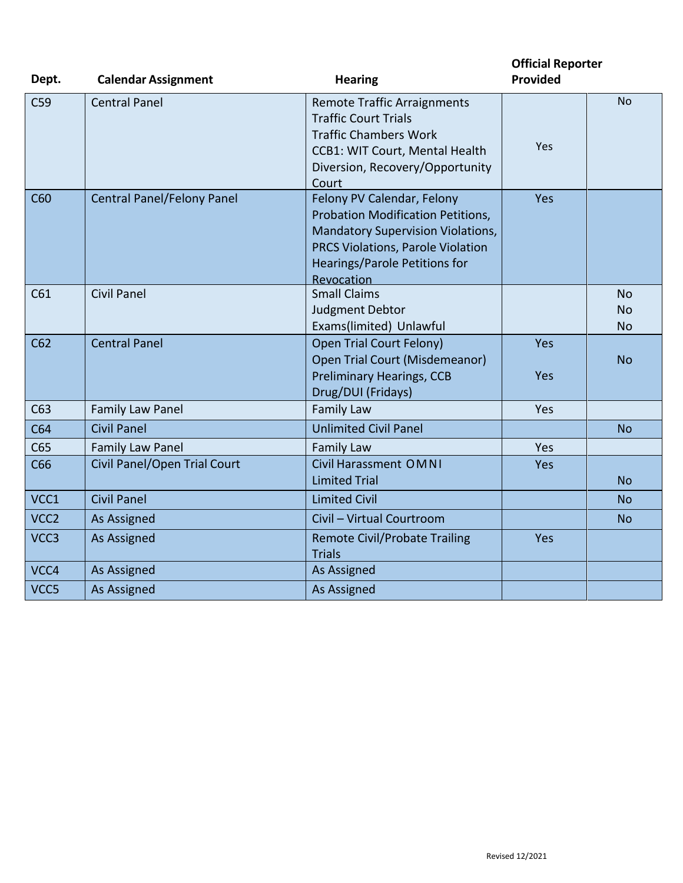| Dept.            | <b>Calendar Assignment</b>        | <b>Hearing</b>                           | <b>Official Reporter</b><br>Provided |           |
|------------------|-----------------------------------|------------------------------------------|--------------------------------------|-----------|
|                  |                                   |                                          |                                      |           |
| C <sub>59</sub>  | <b>Central Panel</b>              | <b>Remote Traffic Arraignments</b>       |                                      | <b>No</b> |
|                  |                                   | <b>Traffic Court Trials</b>              |                                      |           |
|                  |                                   | <b>Traffic Chambers Work</b>             | Yes                                  |           |
|                  |                                   | <b>CCB1: WIT Court, Mental Health</b>    |                                      |           |
|                  |                                   | Diversion, Recovery/Opportunity          |                                      |           |
| C60              | <b>Central Panel/Felony Panel</b> | Court<br>Felony PV Calendar, Felony      | Yes                                  |           |
|                  |                                   | Probation Modification Petitions,        |                                      |           |
|                  |                                   | <b>Mandatory Supervision Violations,</b> |                                      |           |
|                  |                                   | PRCS Violations, Parole Violation        |                                      |           |
|                  |                                   | <b>Hearings/Parole Petitions for</b>     |                                      |           |
|                  |                                   | Revocation                               |                                      |           |
| C61              | <b>Civil Panel</b>                | <b>Small Claims</b>                      |                                      | <b>No</b> |
|                  |                                   | <b>Judgment Debtor</b>                   |                                      | <b>No</b> |
|                  |                                   | Exams(limited) Unlawful                  |                                      | <b>No</b> |
| C62              | <b>Central Panel</b>              | <b>Open Trial Court Felony)</b>          | Yes                                  |           |
|                  |                                   | Open Trial Court (Misdemeanor)           |                                      | <b>No</b> |
|                  |                                   | <b>Preliminary Hearings, CCB</b>         | Yes                                  |           |
|                  |                                   | Drug/DUI (Fridays)                       |                                      |           |
| C63              | Family Law Panel                  | <b>Family Law</b>                        | Yes                                  |           |
| C64              | <b>Civil Panel</b>                | <b>Unlimited Civil Panel</b>             |                                      | <b>No</b> |
| C65              | <b>Family Law Panel</b>           | <b>Family Law</b>                        | Yes                                  |           |
| C66              | Civil Panel/Open Trial Court      | Civil Harassment OMNI                    | Yes                                  |           |
|                  |                                   | <b>Limited Trial</b>                     |                                      | <b>No</b> |
| VCC1             | <b>Civil Panel</b>                | <b>Limited Civil</b>                     |                                      | <b>No</b> |
| VCC <sub>2</sub> | As Assigned                       | Civil - Virtual Courtroom                |                                      | <b>No</b> |
| VCC3             | As Assigned                       | <b>Remote Civil/Probate Trailing</b>     | Yes                                  |           |
|                  |                                   | <b>Trials</b>                            |                                      |           |
| VCC4             | As Assigned                       | As Assigned                              |                                      |           |
| VCC5             | As Assigned                       | As Assigned                              |                                      |           |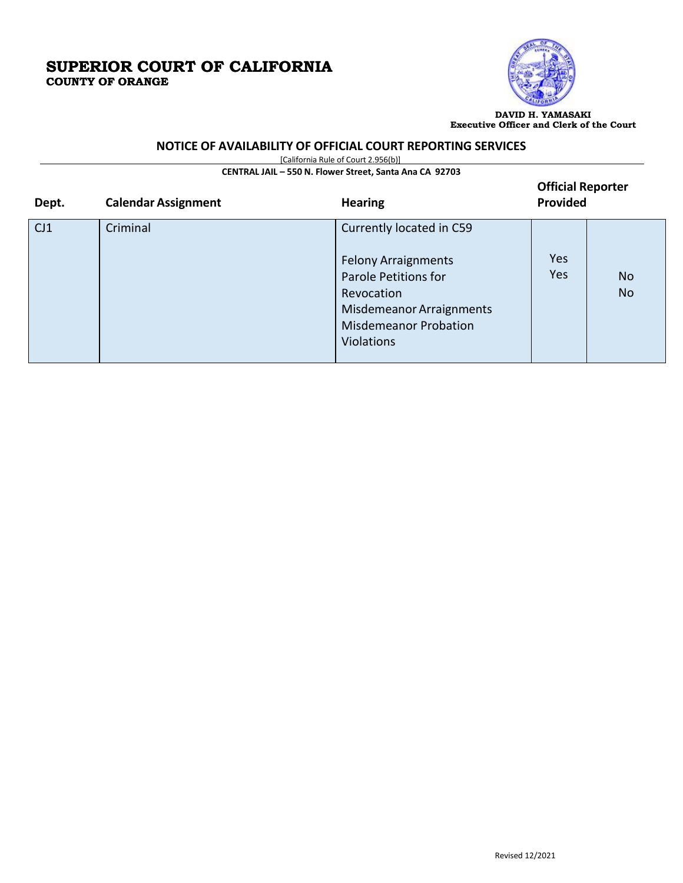

**DAVID H. YAMASAKI Executive Officer and Clerk of the Court**

#### **NOTICE OF AVAILABILITY OF OFFICIAL COURT REPORTING SERVICES**

[California Rule of Court 2.956(b)]

**CENTRAL JAIL – 550 N. Flower Street, Santa Ana CA 92703**

| Dept. | <b>Calendar Assignment</b> | <b>Hearing</b>                                                                                                                                                                       | <b>Official Reporter</b><br>Provided |                        |
|-------|----------------------------|--------------------------------------------------------------------------------------------------------------------------------------------------------------------------------------|--------------------------------------|------------------------|
| CJ1   | Criminal                   | Currently located in C59<br><b>Felony Arraignments</b><br>Parole Petitions for<br>Revocation<br><b>Misdemeanor Arraignments</b><br><b>Misdemeanor Probation</b><br><b>Violations</b> | Yes<br>Yes                           | <b>No</b><br><b>No</b> |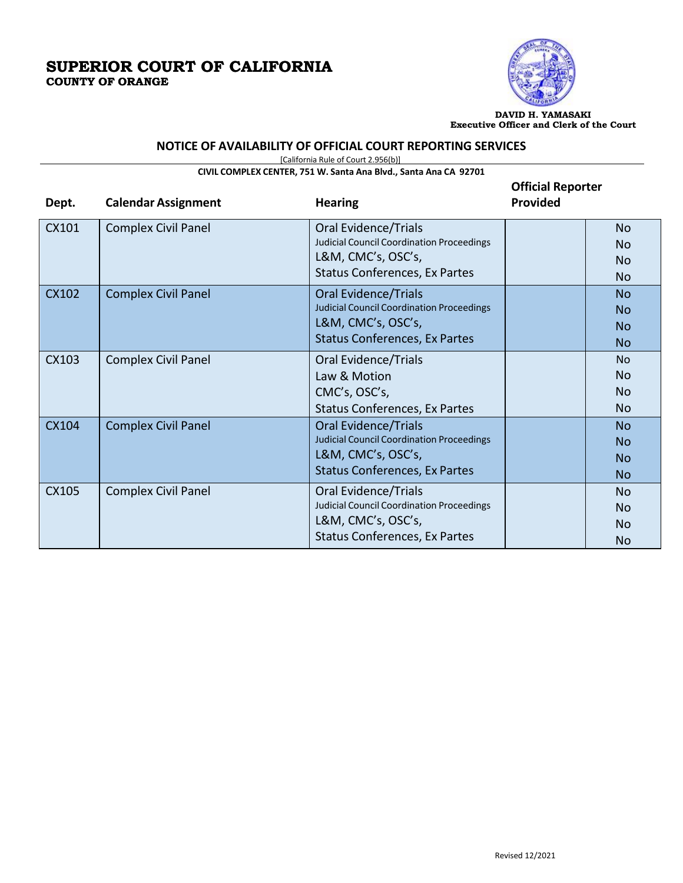

**DAVID H. YAMASAKI Executive Officer and Clerk of the Court**

# **NOTICE OF AVAILABILITY OF OFFICIAL COURT REPORTING SERVICES**

[California Rule of Court 2.956(b)]

**CIVIL COMPLEX CENTER, 751 W. Santa Ana Blvd., Santa Ana CA 92701**

| Dept. | <b>Calendar Assignment</b> | <b>Hearing</b>                                   | <b>Official Reporter</b><br><b>Provided</b> |                |
|-------|----------------------------|--------------------------------------------------|---------------------------------------------|----------------|
| CX101 | Complex Civil Panel        | <b>Oral Evidence/Trials</b>                      |                                             | N <sub>o</sub> |
|       |                            | <b>Judicial Council Coordination Proceedings</b> |                                             | No             |
|       |                            | L&M, CMC's, OSC's,                               |                                             | <b>No</b>      |
|       |                            | Status Conferences, Ex Partes                    |                                             | N <sub>o</sub> |
| CX102 | <b>Complex Civil Panel</b> | <b>Oral Evidence/Trials</b>                      |                                             | No.            |
|       |                            | <b>Judicial Council Coordination Proceedings</b> |                                             | <b>No</b>      |
|       |                            | L&M, CMC's, OSC's,                               |                                             | <b>No</b>      |
|       |                            | <b>Status Conferences, Ex Partes</b>             |                                             | <b>No</b>      |
| CX103 | <b>Complex Civil Panel</b> | Oral Evidence/Trials                             |                                             | <b>No</b>      |
|       |                            | Law & Motion                                     |                                             | N <sub>o</sub> |
|       |                            | CMC's, OSC's,                                    |                                             | <b>No</b>      |
|       |                            | <b>Status Conferences, Ex Partes</b>             |                                             | <b>No</b>      |
| CX104 | <b>Complex Civil Panel</b> | <b>Oral Evidence/Trials</b>                      |                                             | N <sub>o</sub> |
|       |                            | <b>Judicial Council Coordination Proceedings</b> |                                             | <b>No</b>      |
|       |                            | L&M, CMC's, OSC's,                               |                                             | <b>No</b>      |
|       |                            | <b>Status Conferences, Ex Partes</b>             |                                             | N <sub>o</sub> |
| CX105 | <b>Complex Civil Panel</b> | Oral Evidence/Trials                             |                                             | No.            |
|       |                            | <b>Judicial Council Coordination Proceedings</b> |                                             | <b>No</b>      |
|       |                            | L&M, CMC's, OSC's,                               |                                             | N <sub>o</sub> |
|       |                            | Status Conferences, Ex Partes                    |                                             | No             |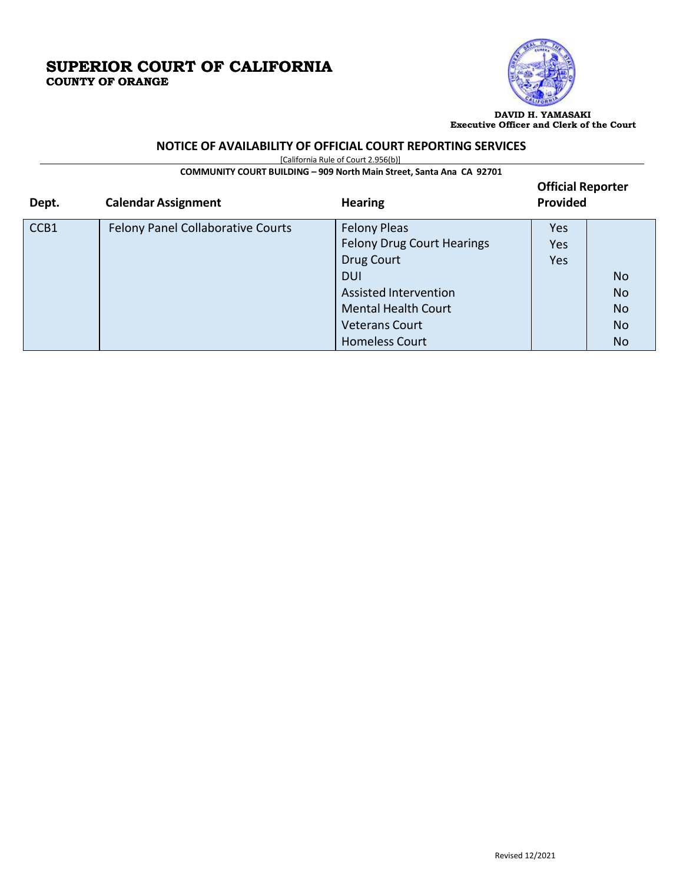

**DAVID H. YAMASAKI Executive Officer and Clerk of the Court**

### **NOTICE OF AVAILABILITY OF OFFICIAL COURT REPORTING SERVICES**

[California Rule of Court 2.956(b)]

**COMMUNITY COURT BUILDING – 909 North Main Street, Santa Ana CA 92701**

| Dept. | <b>Calendar Assignment</b>               | <b>Hearing</b>                    | <b>Official Reporter</b><br>Provided |                |
|-------|------------------------------------------|-----------------------------------|--------------------------------------|----------------|
| CCB1  | <b>Felony Panel Collaborative Courts</b> | <b>Felony Pleas</b>               | <b>Yes</b>                           |                |
|       |                                          | <b>Felony Drug Court Hearings</b> | Yes                                  |                |
|       |                                          | Drug Court                        | Yes                                  |                |
|       |                                          | <b>DUI</b>                        |                                      | N <sub>o</sub> |
|       |                                          | <b>Assisted Intervention</b>      |                                      | <b>No</b>      |
|       |                                          | <b>Mental Health Court</b>        |                                      | <b>No</b>      |
|       |                                          | <b>Veterans Court</b>             |                                      | N <sub>o</sub> |
|       |                                          | <b>Homeless Court</b>             |                                      | N <sub>o</sub> |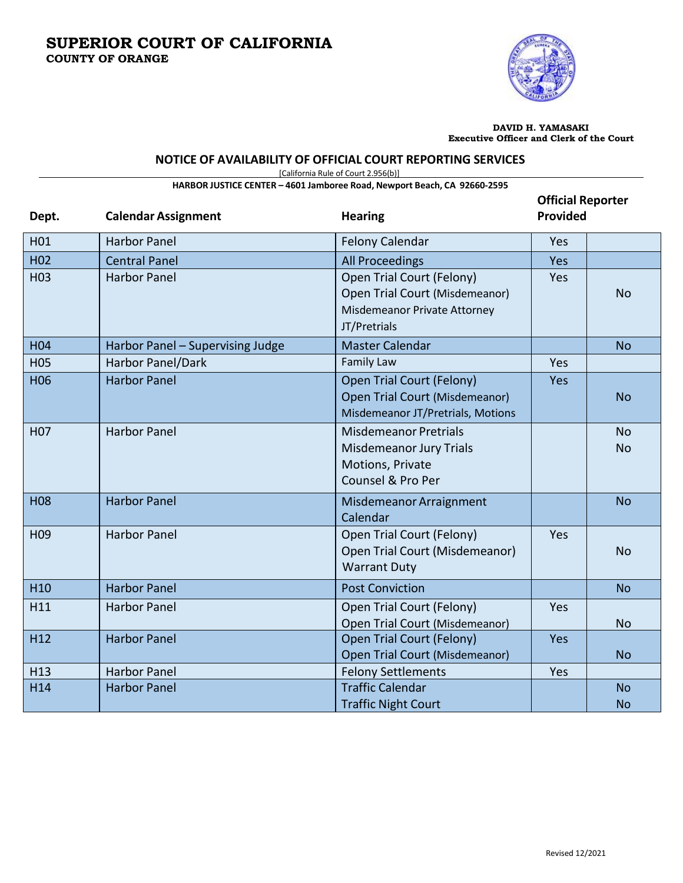

**DAVID H. YAMASAKI Executive Officer and Clerk of the Court**

#### **NOTICE OF AVAILABILITY OF OFFICIAL COURT REPORTING SERVICES**

[California Rule of Court 2.956(b)]

|                          | HARBOR JUSTICE CENTER - 4601 Jamboree Road, Newport Beach, CA 92660-2595 |                                                    |            |           |  |
|--------------------------|--------------------------------------------------------------------------|----------------------------------------------------|------------|-----------|--|
| <b>Official Reporter</b> |                                                                          |                                                    |            |           |  |
| Dept.                    | <b>Calendar Assignment</b>                                               | <b>Hearing</b>                                     | Provided   |           |  |
| H01                      | <b>Harbor Panel</b>                                                      | <b>Felony Calendar</b>                             | Yes        |           |  |
| H <sub>02</sub>          | <b>Central Panel</b>                                                     | <b>All Proceedings</b>                             | Yes        |           |  |
| H <sub>03</sub>          | <b>Harbor Panel</b>                                                      | Open Trial Court (Felony)                          | Yes        |           |  |
|                          |                                                                          | Open Trial Court (Misdemeanor)                     |            | <b>No</b> |  |
|                          |                                                                          | Misdemeanor Private Attorney                       |            |           |  |
|                          |                                                                          | JT/Pretrials                                       |            |           |  |
| H <sub>04</sub>          | Harbor Panel - Supervising Judge                                         | <b>Master Calendar</b>                             |            | <b>No</b> |  |
| <b>H05</b>               | Harbor Panel/Dark                                                        | <b>Family Law</b>                                  | Yes        |           |  |
| H <sub>06</sub>          | <b>Harbor Panel</b>                                                      | Open Trial Court (Felony)                          | Yes        |           |  |
|                          |                                                                          | Open Trial Court (Misdemeanor)                     |            | <b>No</b> |  |
|                          |                                                                          | Misdemeanor JT/Pretrials, Motions                  |            |           |  |
| H <sub>0</sub> 7         | <b>Harbor Panel</b>                                                      | <b>Misdemeanor Pretrials</b>                       |            | <b>No</b> |  |
|                          |                                                                          | <b>Misdemeanor Jury Trials</b><br>Motions, Private |            | <b>No</b> |  |
|                          |                                                                          | Counsel & Pro Per                                  |            |           |  |
|                          |                                                                          |                                                    |            |           |  |
| <b>H08</b>               | <b>Harbor Panel</b>                                                      | Misdemeanor Arraignment<br>Calendar                |            | <b>No</b> |  |
| H <sub>09</sub>          | <b>Harbor Panel</b>                                                      | Open Trial Court (Felony)                          | Yes        |           |  |
|                          |                                                                          | Open Trial Court (Misdemeanor)                     |            | <b>No</b> |  |
|                          |                                                                          | <b>Warrant Duty</b>                                |            |           |  |
| H <sub>10</sub>          | <b>Harbor Panel</b>                                                      | <b>Post Conviction</b>                             |            | <b>No</b> |  |
| H11                      | <b>Harbor Panel</b>                                                      | Open Trial Court (Felony)                          | Yes        |           |  |
|                          |                                                                          | Open Trial Court (Misdemeanor)                     |            | <b>No</b> |  |
| H <sub>12</sub>          | <b>Harbor Panel</b>                                                      | Open Trial Court (Felony)                          | <b>Yes</b> |           |  |
|                          |                                                                          | <b>Open Trial Court (Misdemeanor)</b>              |            | <b>No</b> |  |
| H <sub>13</sub>          | <b>Harbor Panel</b>                                                      | <b>Felony Settlements</b>                          | Yes        |           |  |
| H14                      | <b>Harbor Panel</b>                                                      | <b>Traffic Calendar</b>                            |            | <b>No</b> |  |
|                          |                                                                          | <b>Traffic Night Court</b>                         |            | <b>No</b> |  |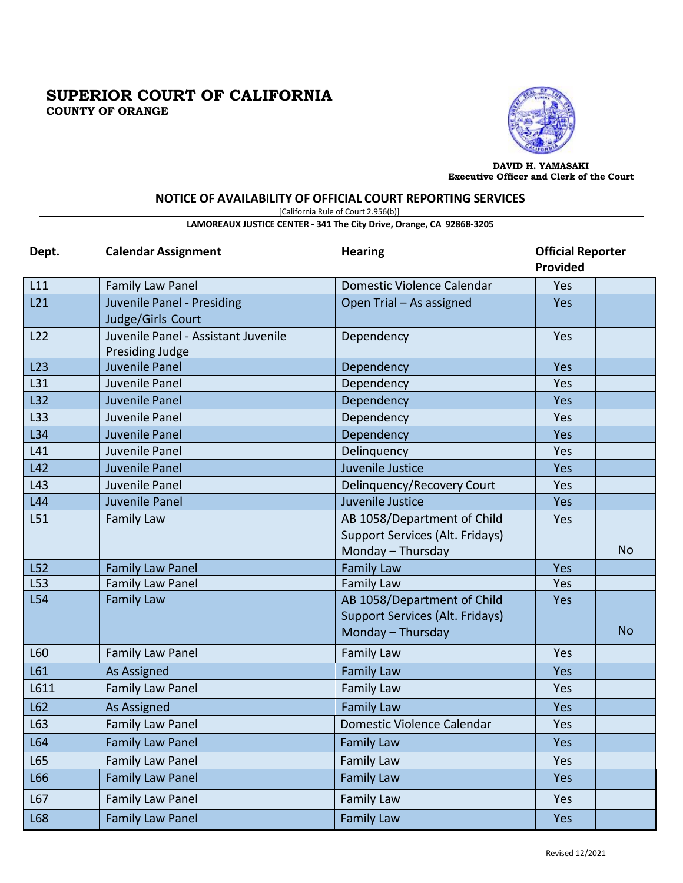

**DAVID H. YAMASAKI Executive Officer and Clerk of the Court**

### **NOTICE OF AVAILABILITY OF OFFICIAL COURT REPORTING SERVICES**

[California Rule of Court 2.956(b)]

#### **LAMOREAUX JUSTICE CENTER - 341 The City Drive, Orange, CA 92868-3205**

| Dept. | <b>Calendar Assignment</b>                             | <b>Hearing</b>                                                                             | <b>Official Reporter</b><br><b>Provided</b> |           |
|-------|--------------------------------------------------------|--------------------------------------------------------------------------------------------|---------------------------------------------|-----------|
| L11   | <b>Family Law Panel</b>                                | Domestic Violence Calendar                                                                 | Yes                                         |           |
| L21   | Juvenile Panel - Presiding<br>Judge/Girls Court        | Open Trial - As assigned                                                                   | Yes                                         |           |
| L22   | Juvenile Panel - Assistant Juvenile<br>Presiding Judge | Dependency                                                                                 | Yes                                         |           |
| L23   | Juvenile Panel                                         | Dependency                                                                                 | Yes                                         |           |
| L31   | Juvenile Panel                                         | Dependency                                                                                 | Yes                                         |           |
| L32   | Juvenile Panel                                         | Dependency                                                                                 | <b>Yes</b>                                  |           |
| L33   | Juvenile Panel                                         | Dependency                                                                                 | Yes                                         |           |
| L34   | Juvenile Panel                                         | Dependency                                                                                 | Yes                                         |           |
| L41   | Juvenile Panel                                         | Delinquency                                                                                | Yes                                         |           |
| L42   | Juvenile Panel                                         | Juvenile Justice                                                                           | Yes                                         |           |
| L43   | Juvenile Panel                                         | Delinquency/Recovery Court                                                                 | Yes                                         |           |
| L44   | Juvenile Panel                                         | Juvenile Justice                                                                           | Yes                                         |           |
| L51   | <b>Family Law</b>                                      | AB 1058/Department of Child<br>Support Services (Alt. Fridays)<br>Monday - Thursday        | Yes                                         | <b>No</b> |
| L52   | <b>Family Law Panel</b>                                | <b>Family Law</b>                                                                          | Yes                                         |           |
| L53   | <b>Family Law Panel</b>                                | Family Law                                                                                 | Yes                                         |           |
| L54   | <b>Family Law</b>                                      | AB 1058/Department of Child<br><b>Support Services (Alt. Fridays)</b><br>Monday - Thursday | Yes                                         | <b>No</b> |
| L60   | <b>Family Law Panel</b>                                | Family Law                                                                                 | Yes                                         |           |
| L61   | <b>As Assigned</b>                                     | <b>Family Law</b>                                                                          | Yes                                         |           |
| L611  | <b>Family Law Panel</b>                                | <b>Family Law</b>                                                                          | Yes                                         |           |
| L62   | <b>As Assigned</b>                                     | <b>Family Law</b>                                                                          | Yes                                         |           |
| L63   | <b>Family Law Panel</b>                                | Domestic Violence Calendar                                                                 | Yes                                         |           |
| L64   | <b>Family Law Panel</b>                                | <b>Family Law</b>                                                                          | Yes                                         |           |
| L65   | <b>Family Law Panel</b>                                | <b>Family Law</b>                                                                          | Yes                                         |           |
| L66   | <b>Family Law Panel</b>                                | <b>Family Law</b>                                                                          | Yes                                         |           |
| L67   | <b>Family Law Panel</b>                                | <b>Family Law</b>                                                                          | Yes                                         |           |
| L68   | <b>Family Law Panel</b>                                | <b>Family Law</b>                                                                          | Yes                                         |           |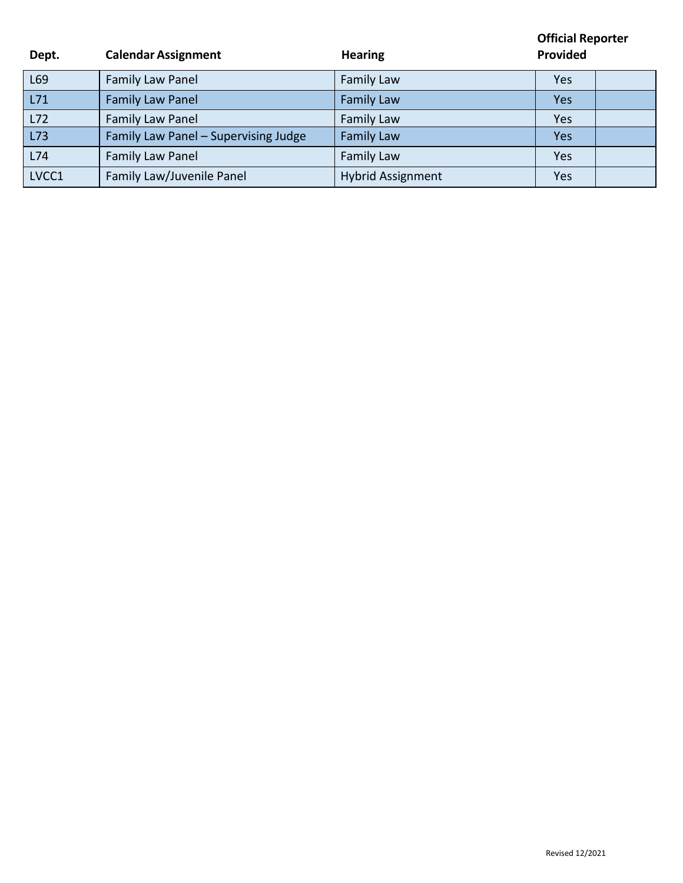| Dept. | <b>Calendar Assignment</b>           | <b>Hearing</b>           | <b>Official Reporter</b><br>Provided |
|-------|--------------------------------------|--------------------------|--------------------------------------|
| L69   | Family Law Panel                     | <b>Family Law</b>        | <b>Yes</b>                           |
| L71   | <b>Family Law Panel</b>              | <b>Family Law</b>        | Yes                                  |
| L72   | Family Law Panel                     | Family Law               | Yes                                  |
| L73   | Family Law Panel - Supervising Judge | <b>Family Law</b>        | <b>Yes</b>                           |
| L74   | Family Law Panel                     | Family Law               | Yes                                  |
| LVCC1 | Family Law/Juvenile Panel            | <b>Hybrid Assignment</b> | Yes                                  |

**D**

**ept.**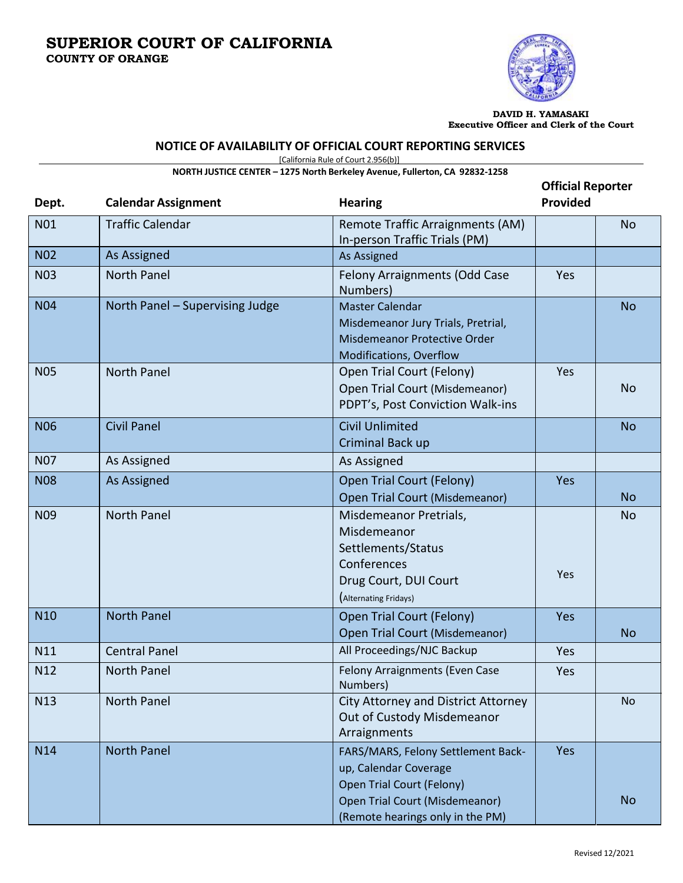

**DAVID H. YAMASAKI Executive Officer and Clerk of the Court**

# **NOTICE OF AVAILABILITY OF OFFICIAL COURT REPORTING SERVICES**

[California Rule of Court 2.956(b)]

**NORTH JUSTICE CENTER – 1275 North Berkeley Avenue, Fullerton, CA 92832-1258**

| Dept.           | <b>Calendar Assignment</b>      | <b>Hearing</b>                                                                                                                                                 | <b>Official Reporter</b><br><b>Provided</b> |           |
|-----------------|---------------------------------|----------------------------------------------------------------------------------------------------------------------------------------------------------------|---------------------------------------------|-----------|
| <b>N01</b>      | <b>Traffic Calendar</b>         | Remote Traffic Arraignments (AM)<br>In-person Traffic Trials (PM)                                                                                              |                                             | <b>No</b> |
| <b>N02</b>      | As Assigned                     | As Assigned                                                                                                                                                    |                                             |           |
| <b>N03</b>      | <b>North Panel</b>              | Felony Arraignments (Odd Case<br>Numbers)                                                                                                                      | Yes                                         |           |
| <b>N04</b>      | North Panel - Supervising Judge | <b>Master Calendar</b><br>Misdemeanor Jury Trials, Pretrial,<br>Misdemeanor Protective Order<br><b>Modifications, Overflow</b>                                 |                                             | <b>No</b> |
| <b>N05</b>      | <b>North Panel</b>              | Open Trial Court (Felony)<br>Open Trial Court (Misdemeanor)<br>PDPT's, Post Conviction Walk-ins                                                                | Yes                                         | <b>No</b> |
| <b>N06</b>      | <b>Civil Panel</b>              | <b>Civil Unlimited</b><br>Criminal Back up                                                                                                                     |                                             | <b>No</b> |
| <b>N07</b>      | As Assigned                     | As Assigned                                                                                                                                                    |                                             |           |
| <b>N08</b>      | As Assigned                     | Open Trial Court (Felony)<br><b>Open Trial Court (Misdemeanor)</b>                                                                                             | <b>Yes</b>                                  | <b>No</b> |
| N <sub>09</sub> | North Panel                     | Misdemeanor Pretrials,<br>Misdemeanor<br>Settlements/Status<br>Conferences<br>Drug Court, DUI Court<br>(Alternating Fridays)                                   | Yes                                         | <b>No</b> |
| N <sub>10</sub> | <b>North Panel</b>              | Open Trial Court (Felony)<br><b>Open Trial Court (Misdemeanor)</b>                                                                                             | Yes                                         | <b>No</b> |
| N11             | <b>Central Panel</b>            | All Proceedings/NJC Backup                                                                                                                                     | Yes                                         |           |
| N12             | <b>North Panel</b>              | Felony Arraignments (Even Case<br>Numbers)                                                                                                                     | Yes                                         |           |
| N13             | North Panel                     | City Attorney and District Attorney<br>Out of Custody Misdemeanor<br>Arraignments                                                                              |                                             | <b>No</b> |
| N14             | <b>North Panel</b>              | FARS/MARS, Felony Settlement Back-<br>up, Calendar Coverage<br>Open Trial Court (Felony)<br>Open Trial Court (Misdemeanor)<br>(Remote hearings only in the PM) | Yes                                         | <b>No</b> |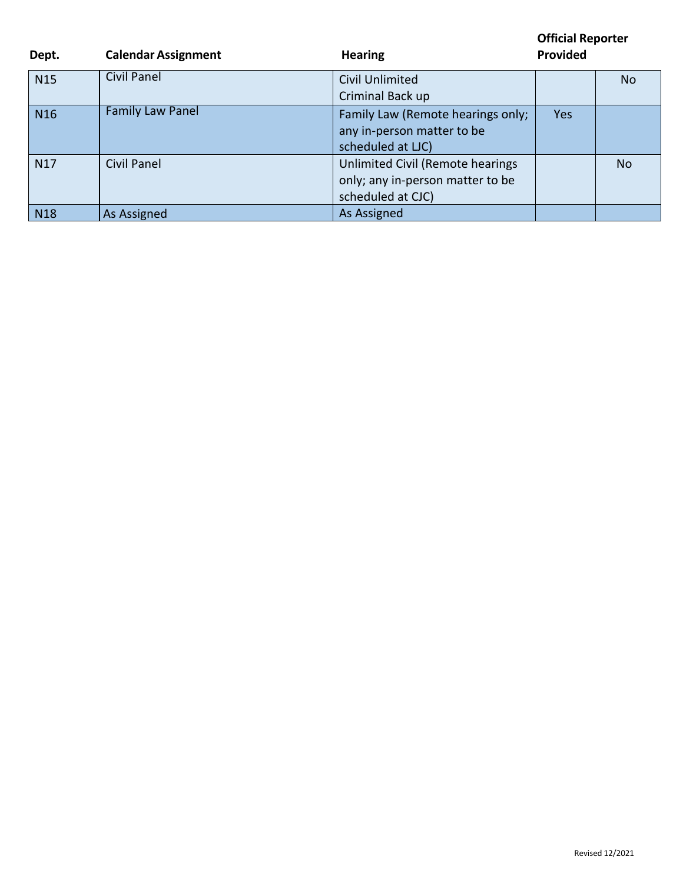| Dept.           | <b>Calendar Assignment</b> | <b>Hearing</b>                                                                            | <b>Provided</b> |           |
|-----------------|----------------------------|-------------------------------------------------------------------------------------------|-----------------|-----------|
| <b>N15</b>      | Civil Panel                | <b>Civil Unlimited</b><br>Criminal Back up                                                |                 | No        |
| N <sub>16</sub> | <b>Family Law Panel</b>    | Family Law (Remote hearings only;<br>any in-person matter to be<br>scheduled at LJC)      | Yes             |           |
| N <sub>17</sub> | Civil Panel                | Unlimited Civil (Remote hearings<br>only; any in-person matter to be<br>scheduled at CJC) |                 | <b>No</b> |
| N <sub>18</sub> | As Assigned                | As Assigned                                                                               |                 |           |

**Official Reporter**